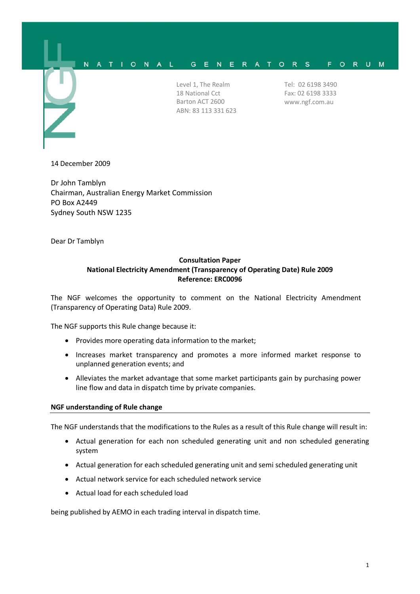

Level 1, The Realm 18 National Cct Barton ACT 2600 ABN: 83 113 331 623 Tel: 02 6198 3490 Fax: 02 6198 3333 www.ngf.com.au

14 December 2009

Dr John Tamblyn Chairman, Australian Energy Market Commission PO Box A2449 Sydney South NSW 1235

Dear Dr Tamblyn

## **Consultation Paper National Electricity Amendment (Transparency of Operating Date) Rule 2009 Reference: ERC0096**

The NGF welcomes the opportunity to comment on the National Electricity Amendment (Transparency of Operating Data) Rule 2009.

The NGF supports this Rule change because it:

- Provides more operating data information to the market;
- Increases market transparency and promotes a more informed market response to unplanned generation events; and
- Alleviates the market advantage that some market participants gain by purchasing power line flow and data in dispatch time by private companies.

## **NGF understanding of Rule change**

The NGF understands that the modifications to the Rules as a result of this Rule change will result in:

- Actual generation for each non scheduled generating unit and non scheduled generating system
- Actual generation for each scheduled generating unit and semi scheduled generating unit
- Actual network service for each scheduled network service
- Actual load for each scheduled load

being published by AEMO in each trading interval in dispatch time.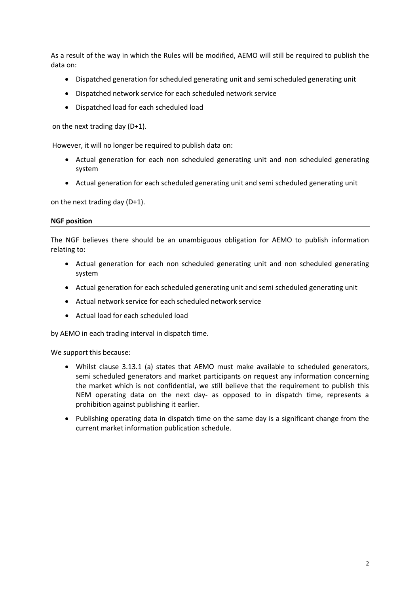As a result of the way in which the Rules will be modified, AEMO will still be required to publish the data on:

- Dispatched generation for scheduled generating unit and semi scheduled generating unit
- Dispatched network service for each scheduled network service
- Dispatched load for each scheduled load

on the next trading day (D+1).

However, it will no longer be required to publish data on:

- Actual generation for each non scheduled generating unit and non scheduled generating system
- Actual generation for each scheduled generating unit and semi scheduled generating unit

on the next trading day (D+1).

## **NGF position**

The NGF believes there should be an unambiguous obligation for AEMO to publish information relating to:

- Actual generation for each non scheduled generating unit and non scheduled generating system
- Actual generation for each scheduled generating unit and semi scheduled generating unit
- Actual network service for each scheduled network service
- Actual load for each scheduled load

by AEMO in each trading interval in dispatch time.

We support this because:

- Whilst clause 3.13.1 (a) states that AEMO must make available to scheduled generators, semi scheduled generators and market participants on request any information concerning the market which is not confidential, we still believe that the requirement to publish this NEM operating data on the next day- as opposed to in dispatch time, represents a prohibition against publishing it earlier.
- Publishing operating data in dispatch time on the same day is a significant change from the current market information publication schedule.